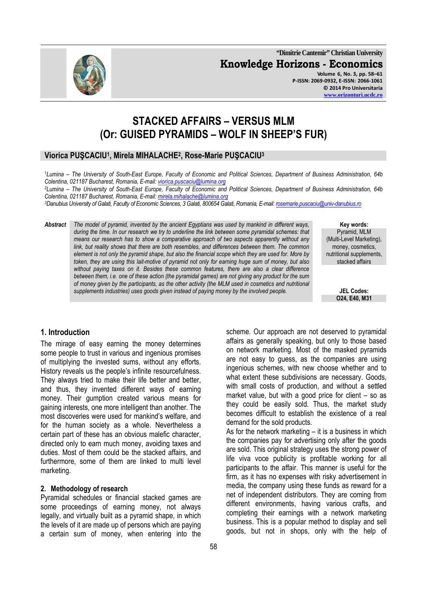**"Dimitrie Cantemir" Christian University Knowledge Horizons - Economics Volume 6, No. 3, pp. 58–61 P-ISSN: 2069-0932, E-ISSN: 2066-1061 © 2014 Pro Universitaria** 

# **STACKED AFFAIRS – VERSUS MLM (Or: GUISED PYRAMIDS – WOLF IN SHEEP'S FUR)**

## **Viorica PUŞCACIU<sup>1</sup> , Mirela MIHALACHE<sup>2</sup> , Rose-Marie PUŞCACIU<sup>3</sup>**

<sup>1</sup>*Lumina – The University of South-East Europe, Faculty of Economic and Political Sciences, Department of Business Administration, 64b Colentina, 021187 Bucharest, Romania, E-mail: viorica.puscaciu@lumina.org*

*<sup>2</sup>Lumina – The University of South-East Europe, Faculty of Economic and Political Sciences, Department of Business Administration, 64b Colentina, 021187 Bucharest, Romania, E-mail: mirela.mihalache@lumina.org*

*<sup>3</sup>Danubius University of Galati, Faculty of Economic Sciences, 3 Galati, 800654 Galati, Romania, E-mail: rosemarie.puscaciu@univ-danubius.ro*

*Abstract The model of pyramid, invented by the ancient Egyptians was used by mankind in different ways, during the time. In our research we try to underline the link between some pyramidal schemes: that means our research has to show a comparative approach of two aspects apparently without any link, but reality shows that there are both resembles, and differences between them. The common element is not only the pyramid shape, but also the financial scope which they are used for. More by token, they are using this lait-motive of pyramid not only for earning huge sum of money, but also without paying taxes on it. Besides these common features, there are also a clear difference between them, i.e. one of these action (the pyramidal games) are not giving any product for the sum of money given by the participants, as the other activity (the MLM used in cosmetics and nutritional supplements industries) uses goods given instead of paying money by the involved people.* 

**Key words:**  Pyramid, MLM (Multi-Level Marketing), money, cosmetics, nutritional supplements, stacked affairs

> **JEL Codes: O24, E40, M31**

## **1. Introduction**

The mirage of easy earning the money determines some people to trust in various and ingenious promises of multiplying the invested sums, without any efforts. History reveals us the people's infinite resourcefulness. They always tried to make their life better and better, and thus, they invented different ways of earning money. Their gumption created various means for gaining interests, one more intelligent than another. The most discoveries were used for mankind's welfare, and for the human society as a whole. Nevertheless a certain part of these has an obvious malefic character, directed only to earn much money, avoiding taxes and duties. Most of them could be the stacked affairs, and furthermore, some of them are linked to multi level marketing.

#### **2. Methodology of research**

Pyramidal schedules or financial stacked games are some proceedings of earning money, not always legally, and virtually built as a pyramid shape, in which the levels of it are made up of persons which are paying a certain sum of money, when entering into the scheme. Our approach are not deserved to pyramidal affairs as generally speaking, but only to those based on network marketing. Most of the masked pyramids are not easy to guess, as the companies are using ingenious schemes, with new choose whether and to what extent these subdivisions are necessary. Goods, with small costs of production, and without a settled market value, but with a good price for client – so as they could be easily sold. Thus, the market study becomes difficult to establish the existence of a real demand for the sold products. As for the network marketing  $-$  it is a business in which

the companies pay for advertising only after the goods are sold. This original strategy uses the strong power of life viva voce publicity is profitable working for all participants to the affair. This manner is useful for the firm, as it has no expenses with risky advertisement in media, the company using these funds as reward for a net of independent distributors. They are coming from different environments, having various crafts, and completing their earnings with a network marketing business. This is a popular method to display and sell goods, but not in shops, only with the help of

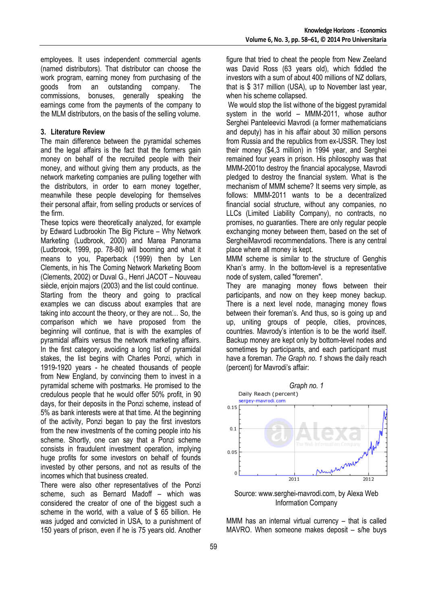employees. It uses independent commercial agents (named distributors). That distributor can choose the work program, earning money from purchasing of the goods from an outstanding company. The commissions, bonuses, generally speaking the earnings come from the payments of the company to the MLM distributors, on the basis of the selling volume.

## **3. Literature Review**

The main difference between the pyramidal schemes and the legal affairs is the fact that the formers gain money on behalf of the recruited people with their money, and without giving them any products, as the network marketing companies are pulling together with the distributors, in order to earn money together, meanwhile these people developing for themselves their personal affair, from selling products or services of the firm.

These topics were theoretically analyzed, for example by Edward Ludbrookin The Big Picture – Why Network Marketing (Ludbrook, 2000) and Marea Panorama (Ludbrook, 1999, pp. 78-80) will booming and what it means to you, Paperback (1999) then by Len Clements, in his The Coming Network Marketing Boom (Clements, 2002) or Duval G., Henri JACOT – Nouveau siècle, enjoin majors (2003) and the list could continue.

Starting from the theory and going to practical examples we can discuss about examples that are taking into account the theory, or they are not… So, the comparison which we have proposed from the beginning will continue, that is with the examples of pyramidal affairs versus the network marketing affairs. In the first category, avoiding a long list of pyramidal stakes, the list begins with Charles Ponzi, which in 1919-1920 years - he cheated thousands of people from New England, by convincing them to invest in a pyramidal scheme with postmarks. He promised to the credulous people that he would offer 50% profit, in 90 days, for their deposits in the Ponzi scheme, instead of 5% as bank interests were at that time. At the beginning of the activity, Ponzi began to pay the first investors from the new investments of the coming people into his scheme. Shortly, one can say that a Ponzi scheme consists in fraudulent investment operation, implying huge profits for some investors on behalf of founds invested by other persons, and not as results of the incomes which that business created.

There were also other representatives of the Ponzi scheme, such as Bernard Madoff – which was considered the creator of one of the biggest such a scheme in the world, with a value of \$ 65 billion. He was judged and convicted in USA, to a punishment of 150 years of prison, even if he is 75 years old. Another

figure that tried to cheat the people from New Zeeland was David Ross (63 years old), which fiddled the investors with a sum of about 400 millions of NZ dollars, that is \$ 317 million (USA), up to November last year, when his scheme collapsed.

We would stop the list withone of the biggest pyramidal system in the world – MMM-2011, whose author Serghei Panteleevici Mavrodi (a former mathematicians and deputy) has in his affair about 30 million persons from Russia and the republics from ex-USSR. They lost their money (\$4,3 million) in 1994 year, and Serghei remained four years in prison. His philosophy was that MMM-2001to destroy the financial apocalypse, Mavrodi pledged to destroy the financial system. What is the mechanism of MMM scheme? It seems very simple, as follows: MMM-2011 wants to be a decentralized financial social structure, without any companies, no LLCs (Limited Liability Company), no contracts, no promises, no guaranties. There are only regular people exchanging money between them, based on the set of SergheiMavrodi recommendations. There is any central place where all money is kept.

MMM scheme is similar to the structure of Genghis Khan's army. In the bottom-level is a representative node of system, called "foremen".

They are managing money flows between their participants, and now on they keep money backup. There is a next level node, managing money flows between their foreman's. And thus, so is going up and up, uniting groups of people, cities, provinces, countries. Mavrody's intention is to be the world itself. Backup money are kept only by bottom-level nodes and sometimes by participants, and each participant must have a foreman. *The Graph no. 1* shows the daily reach (percent) for Mavrodi's affair:



Source: www.serghei-mavrodi.com, by Alexa Web Information Company

MMM has an internal virtual currency – that is called MAVRO. When someone makes deposit – s/he buys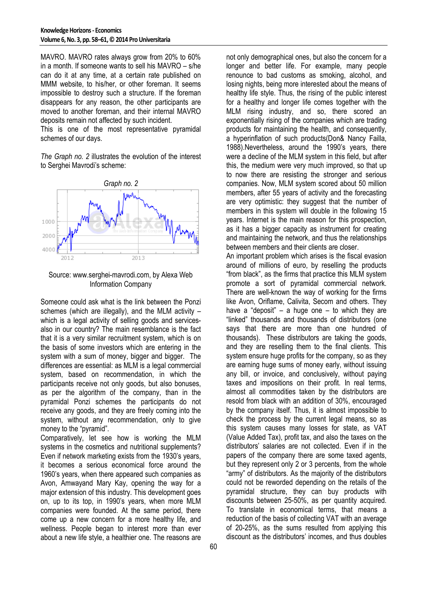MAVRO. MAVRO rates always grow from 20% to 60% in a month. If someone wants to sell his MAVRO – s/he can do it at any time, at a certain rate published on MMM website, to his/her, or other foreman. It seems impossible to destroy such a structure. If the foreman disappears for any reason, the other participants are moved to another foreman, and their internal MAVRO deposits remain not affected by such incident.

This is one of the most representative pyramidal schemes of our days.

*The Graph no. 2* illustrates the evolution of the interest to Serghei Mavrodi's scheme:





Someone could ask what is the link between the Ponzi schemes (which are illegally), and the MLM activity – which is a legal activity of selling goods and servicesalso in our country? The main resemblance is the fact that it is a very similar recruitment system, which is on the basis of some investors which are entering in the system with a sum of money, bigger and bigger. The differences are essential: as MLM is a legal commercial system, based on recommendation, in which the participants receive not only goods, but also bonuses, as per the algorithm of the company, than in the pyramidal Ponzi schemes the participants do not receive any goods, and they are freely coming into the system, without any recommendation, only to give money to the "pyramid".

Comparatively, let see how is working the MLM systems in the cosmetics and nutritional supplements? Even if network marketing exists from the 1930's years, it becomes a serious economical force around the 1960's years, when there appeared such companies as Avon, Amwayand Mary Kay, opening the way for a major extension of this industry. This development goes on, up to its top, in 1990's years, when more MLM companies were founded. At the same period, there come up a new concern for a more healthy life, and wellness. People began to interest more than ever about a new life style, a healthier one. The reasons are

not only demographical ones, but also the concern for a longer and better life. For example, many people renounce to bad customs as smoking, alcohol, and losing nights, being more interested about the means of healthy life style. Thus, the rising of the public interest for a healthy and longer life comes together with the MLM rising industry, and so, there scored an exponentially rising of the companies which are trading products for maintaining the health, and consequently, a hyperinflation of such products(Don& Nancy Failla, 1988).Nevertheless, around the 1990's years, there were a decline of the MLM system in this field, but after this, the medium were very much improved, so that up to now there are resisting the stronger and serious companies. Now, MLM system scored about 50 million members, after 55 years of activity and the forecasting are very optimistic: they suggest that the number of members in this system will double in the following 15 years. Internet is the main reason for this prospection, as it has a bigger capacity as instrument for creating and maintaining the network, and thus the relationships between members and their clients are closer.

An important problem which arises is the fiscal evasion around of millions of euro, by reselling the products "from black", as the firms that practice this MLM system promote a sort of pyramidal commercial network. There are well-known the way of working for the firms like Avon, Oriflame, Calivita, Secom and others. They have a "deposit" – a huge one – to which they are "linked" thousands and thousands of distributors (one says that there are more than one hundred of thousands). These distributors are taking the goods, and they are reselling them to the final clients. This system ensure huge profits for the company, so as they are earning huge sums of money early, without issuing any bill, or invoice, and conclusively, without paying taxes and impositions on their profit. In real terms, almost all commodities taken by the distributors are resold from black with an addition of 30%, encouraged by the company itself. Thus, it is almost impossible to check the process by the current legal means, so as this system causes many losses for state, as VAT (Value Added Tax), profit tax, and also the taxes on the distributors' salaries are not collected. Even if in the papers of the company there are some taxed agents, but they represent only 2 or 3 percents, from the whole "army" of distributors. As the majority of the distributors could not be reworded depending on the retails of the pyramidal structure, they can buy products with discounts between 25-50%, as per quantity acquired. To translate in economical terms, that means a reduction of the basis of collecting VAT with an average of 20-25%, as the sums resulted from applying this discount as the distributors' incomes, and thus doubles